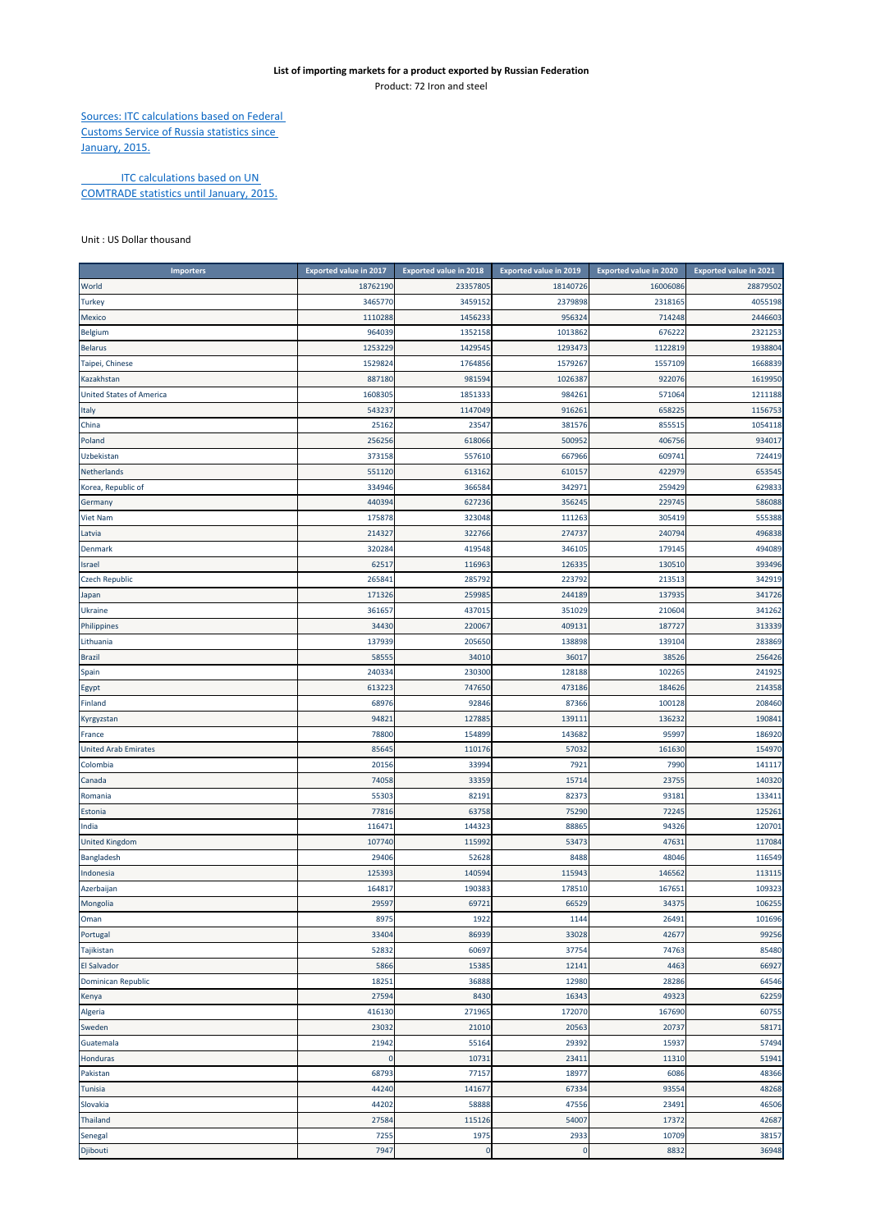## **List of importing markets for a product exported by Russian Federation** Product: 72 Iron and steel

Sources: ITC calculations based on Federal Customs Service of Russia statistics since January, 2015.

**ITC calculations based on UN** COMTRADE statistics until January, 2015.

## Unit : US Dollar thousand

| <b>Importers</b>                | <b>Exported value in 2017</b> | <b>Exported value in 2018</b> | <b>Exported value in 2019</b> | Exported value in 2020 | <b>Exported value in 2021</b> |
|---------------------------------|-------------------------------|-------------------------------|-------------------------------|------------------------|-------------------------------|
| World                           | 18762190                      | 23357805                      | 18140726                      | 16006086               | 28879502                      |
| <b>Turkey</b>                   | 3465770                       | 3459152                       | 2379898                       | 2318165                | 4055198                       |
| Mexico                          | 1110288                       | 1456233                       | 956324                        | 714248                 | 2446603                       |
| <b>Belgium</b>                  | 964039                        | 1352158                       | 1013862                       | 676222                 | 2321253                       |
| <b>Belarus</b>                  | 1253229                       | 1429545                       | 1293473                       | 1122819                | 1938804                       |
| Taipei, Chinese                 | 1529824                       | 1764856                       | 1579267                       | 1557109                | 1668839                       |
| Kazakhstan                      | 887180                        | 981594                        | 1026387                       | 922076                 | 1619950                       |
| <b>United States of America</b> | 1608305                       | 1851333                       | 984261                        | 571064                 | 1211188                       |
| Italy                           | 543237                        | 1147049                       | 916261                        | 658225                 | 1156753                       |
| China                           | 25162                         | 23547                         | 381576                        | 855515                 | 1054118                       |
| Poland                          | 256256                        | 618066                        | 500952                        | 406756                 | 934017                        |
| Uzbekistan                      | 373158                        | 557610                        | 667966                        | 609741                 | 724419                        |
| Netherlands                     | 551120                        | 613162                        | 610157                        | 422979                 | 653545                        |
| Korea, Republic of              | 334946                        | 366584                        | 342971                        | 259429                 | 629833                        |
| Germany                         | 440394                        | 627236                        | 356245                        | 229745                 | 586088                        |
| Viet Nam                        | 175878                        | 323048                        | 111263                        | 305419                 | 555388                        |
| Latvia                          | 214327                        | 322766                        | 274737                        | 240794                 | 496838                        |
| Denmark                         | 320284                        | 419548                        | 346105                        | 179145                 | 494089                        |
| Israel                          | 62517                         | 116963                        | 126335                        | 130510                 | 393496                        |
| <b>Czech Republic</b>           | 265841                        | 285792                        | 223792                        | 213513                 | 342919                        |
| Japan                           | 171326                        | 259985                        | 244189                        | 137935                 | 341726                        |
| Ukraine                         | 361657                        | 437015                        | 351029                        | 210604                 | 341262                        |
| Philippines                     | 34430                         | 220067                        | 409131                        | 187727                 | 313339                        |
| Lithuania                       | 137939                        | 205650                        | 138898                        | 139104                 | 283869                        |
| Brazil                          | 58555                         | 34010                         | 36017                         | 38526                  | 256426                        |
| Spain                           | 240334                        | 230300                        | 128188                        | 102265                 | 241925                        |
| Egypt                           | 613223                        | 747650                        | 473186                        | 184626                 | 214358                        |
| Finland                         | 68976                         | 92846                         | 87366                         | 100128                 | 208460                        |
| Kyrgyzstan                      | 9482                          | 12788                         | 139111                        | 136232                 | 190841                        |
| France                          | 78800                         | 15489                         | 143682                        | 95997                  | 186920                        |
| <b>United Arab Emirates</b>     | 85645                         | 110176                        | 57032                         | 161630                 | 154970                        |
| Colombia                        | 20156                         | 33994                         | 7921                          | 7990                   | 141117                        |
| Canada                          | 74058                         | 33359                         | 15714                         | 23755                  | 140320                        |
| Romania                         | 55303                         | 82191                         | 82373                         | 93181                  | 133411                        |
| Estonia                         | 77816                         | 63758                         | 75290                         | 72245                  | 125261                        |
| India                           | 116471                        | 144323                        | 88865                         | 94326                  | 120701                        |
| <b>United Kingdom</b>           | 107740                        | 115992                        | 53473                         | 47631                  | 117084                        |
| Bangladesh                      | 29406                         | 52628                         | 8488                          | 48046                  | 116549                        |
| Indonesia                       | 125393                        | 140594                        | 115943                        | 146562                 | 113115                        |
| Azerbaijan                      | 164817                        | 190383                        | 178510                        | 167651                 | 109323                        |
| Mongolia                        | 29597                         | 69721                         | 66529                         | 34375                  | 106255                        |
| Oman                            | 8975                          | 1922                          | 1144                          | 26491                  | 101696                        |
| Portugal                        | 33404                         | 86939                         | 33028                         | 42677                  | 99256                         |
| Tajikistan                      | 52832                         | 60697                         | 37754                         | 74763                  | 85480                         |
| El Salvador                     | 5866                          | 15385                         | 12141                         | 4463                   | 66927                         |
| <b>Dominican Republic</b>       | 18251                         | 36888                         | 12980                         | 28286                  | 64546                         |
| Kenya                           | 27594                         | 8430                          | 16343                         | 49323                  | 62259                         |
| Algeria                         | 416130                        | 271965                        | 172070                        | 167690                 | 60755                         |
| Sweden                          | 23032                         | 21010                         | 20563                         | 20737                  | 58171                         |
| Guatemala                       | 21942                         | 55164                         | 29392                         | 15937                  | 57494                         |
| Honduras                        | 0                             | 10731                         | 23411                         | 11310                  | 51941                         |
| Pakistan                        | 68793                         | 77157                         | 18977                         | 6086                   | 48366                         |
| <b>Tunisia</b>                  | 44240                         | 141677                        | 67334                         | 93554                  | 48268                         |
| Slovakia                        | 44202                         | 58888                         | 47556                         | 23491                  | 46506                         |
| <b>Thailand</b>                 | 27584                         | 115126                        | 54007                         | 17372                  | 42687                         |
| Senegal                         | 7255                          | 1975                          | 2933                          | 10709                  | 38157                         |
| Djibouti                        | 7947                          | 0                             | $\bf 0$                       | 8832                   | 36948                         |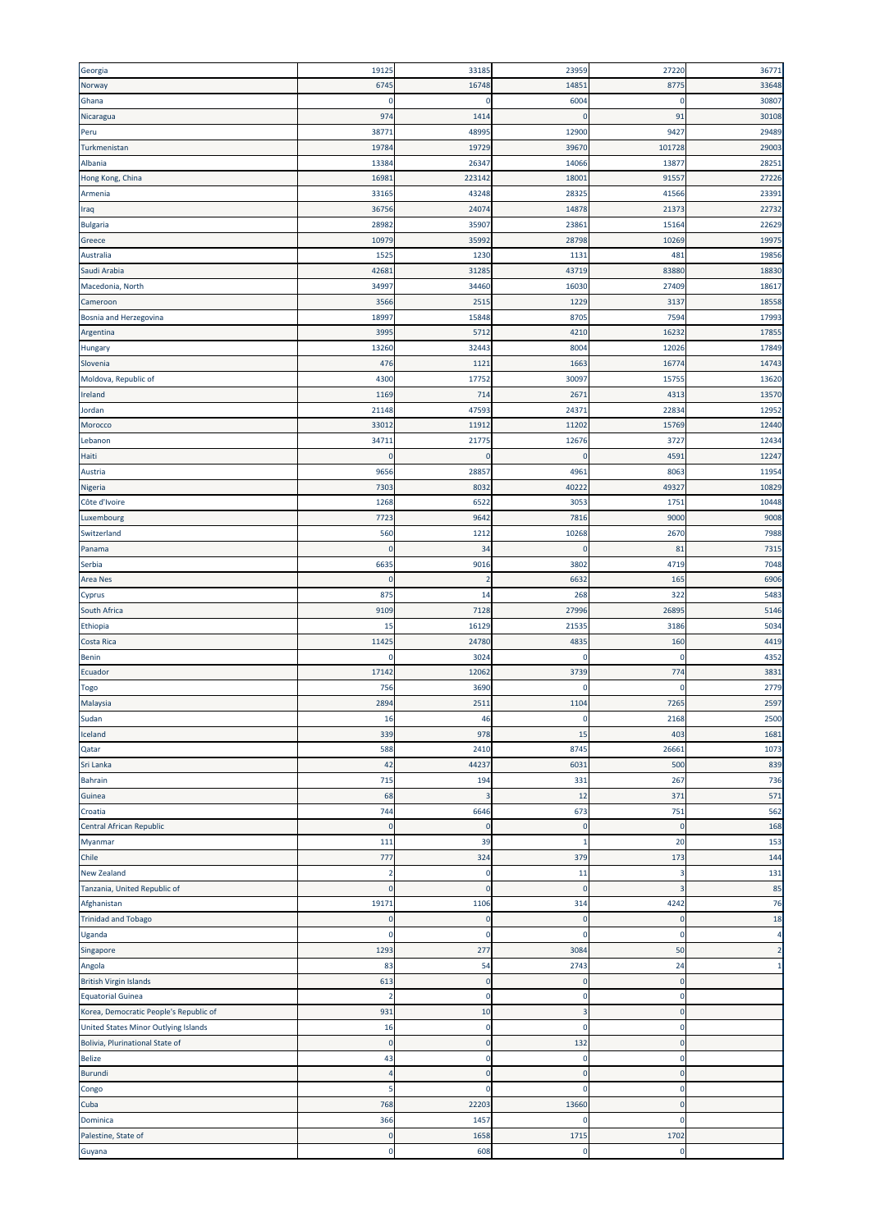| Georgia                                | 19125                   | 33185          | 23959        | 27220       | 36771          |
|----------------------------------------|-------------------------|----------------|--------------|-------------|----------------|
| Norway                                 | 6745                    | 16748          | 14851        | 8775        | 33648          |
| Ghana                                  | 0                       | C              | 6004         | O           | 30807          |
|                                        |                         |                |              |             |                |
| Nicaragua                              | 974                     | 1414           | 0            | 91          | 30108          |
| Peru                                   | 3877                    | 48995          | 12900        | 9427        | 29489          |
| Turkmenistan                           | 1978                    | 19729          | 39670        | 101728      | 29003          |
| Albania                                | 1338                    | 26347          | 14066        | 13877       | 28251          |
| Hong Kong, China                       | 1698                    | 223142         | 18001        | 91557       | 27226          |
| Armenia                                | 33165                   | 43248          | 28325        | 41566       | 23391          |
| Iraq                                   | 3675                    | 2407           | 14878        | 21373       | 22732          |
| Bulgaria                               | 2898                    | 35907          | 23861        | 15164       | 22629          |
| Greece                                 | 1097                    | 35992          | 28798        | 10269       | 19975          |
| Australia                              | 152                     | 1230           | 1131         | 481         | 19856          |
| Saudi Arabia                           | 4268                    | 31285          | 43719        | 83880       | 18830          |
| Macedonia, North                       | 3499                    | 34460          | 16030        | 27409       | 18617          |
| Cameroon                               | 3566                    | 2515           | 1229         | 3137        | 18558          |
|                                        |                         |                | 8705         | 7594        |                |
| Bosnia and Herzegovina                 | 1899                    | 15848          |              |             | 17993          |
| Argentina                              | 3995                    | 5712           | 4210         | 16232       | 17855          |
| Hungary                                | 13260                   | 32443          | 8004         | 12026       | 17849          |
| Slovenia                               | 476                     | 1121           | 1663         | 16774       | 14743          |
| Moldova, Republic of                   | 4300                    | 17752          | 30097        | 15755       | 13620          |
| Ireland                                | 1169                    | 714            | 2671         | 4313        | 13570          |
| Jordan                                 | 21148                   | 47593          | 24371        | 22834       | 12952          |
| Morocco                                | 3301                    | 11912          | 11202        | 15769       | 12440          |
| Lebanon                                | 3471                    | 21775          | 12676        | 3727        | 12434          |
| Haiti                                  | $\mathbf 0$             | $\overline{0}$ | $\mathbf 0$  | 4591        | 12247          |
| Austria                                | 9656                    | 28857          | 4961         | 8063        | 11954          |
| Nigeria                                | 7303                    | 8032           | 40222        | 49327       | 10829          |
| Côte d'Ivoire                          | 1268                    | 6522           | 3053         | 1751        | 10448          |
|                                        |                         |                |              |             |                |
| Luxembourg                             | 7723                    | 9642           | 7816         | 9000        | 9008           |
| Switzerland                            | 560                     | 1212           | 10268        | 2670        | 7988           |
| Panama                                 | 0                       | 34             | 0            | 81          | 7315           |
| Serbia                                 | 663                     | 9016           | 3802         | 4719        | 7048           |
| <b>Area Nes</b>                        | 0                       | $\overline{2}$ | 6632         | 165         | 6906           |
| Cyprus                                 | 875                     | 14             | 268          | 322         | 5483           |
| South Africa                           | 9109                    | 7128           | 27996        | 26895       | 5146           |
| Ethiopia                               | 15                      | 16129          | 21535        | 3186        | 5034           |
| Costa Rica                             | 1142                    | 24780          | 4835         | 160         | 4419           |
| Benin                                  | C                       | 3024           | $\mathbf 0$  | C           | 4352           |
| Ecuador                                | 1714                    | 12062          | 3739         | 774         | 3831           |
| Togo                                   | 756                     | 3690           | 0            | C           | 2779           |
|                                        | 2894                    | 2511           | 1104         | 7265        | 2597           |
| Malaysia                               |                         |                |              |             |                |
| Sudan                                  | 16                      | 46             | U            | 2168        | 2500           |
| Iceland                                | 339                     | 978            | 15           | 403         | 1681           |
| Qatar                                  | 588                     | 2410           | 8745         | 26661       | 1073           |
| Sri Lanka                              | 42                      | 44237          | 6031         | 500         | 839            |
| Bahrain                                | 715                     | 194            | 331          | 267         | 736            |
| Guinea                                 | 68                      | В              | 12           | 371         | 571            |
| Croatia                                | 744                     | 6646           | 673          | 751         | 562            |
| Central African Republic               | $\Omega$                | $\epsilon$     | $\bf{0}$     | -0          | 168            |
| Myanmar                                | 111                     | 39             | $\mathbf{1}$ | 20          | 153            |
| Chile                                  | 777                     | 324            | 379          | 173         | 144            |
| <b>New Zealand</b>                     | 2                       | C.             | 11           | 3           | 131            |
| Tanzania, United Republic of           | $\Omega$                | C              | $\bf{0}$     |             | 85             |
| Afghanistan                            | 19171                   | 1106           | 314          | 4242        | 76             |
| <b>Trinidad and Tobago</b>             | C                       | C              | 0            | C           | 18             |
| Uganda                                 | O                       | C              | 0            | O           | 4              |
|                                        |                         |                |              |             |                |
| Singapore                              | 1293                    | 277            | 3084         | 50          | $\overline{2}$ |
| Angola                                 | 83                      | 54             | 2743         | 24          | $\mathbf{1}$   |
| <b>British Virgin Islands</b>          | 613                     | C              | 0            | C           |                |
| Equatorial Guinea                      | $\overline{\mathbf{2}}$ | C              | 0            | 0           |                |
| Korea, Democratic People's Republic of | 931                     | 10             | 3            | 0           |                |
| United States Minor Outlying Islands   | 16                      | C              | 0            | 0           |                |
| Bolivia, Plurinational State of        | $\mathbf 0$             | C              | 132          | 0           |                |
| <b>Belize</b>                          | 43                      | C              | 0            | 0           |                |
| Burundi                                | 4                       | $\mathsf{C}$   | $\mathbf 0$  | 0           |                |
| Congo                                  | 5                       | C              | $\mathbf 0$  | $\mathbf 0$ |                |
| Cuba                                   | 768                     | 22203          | 13660        | $\Omega$    |                |
| Dominica                               | 366                     | 1457           | 0            | C           |                |
| Palestine, State of                    | $\mathbf 0$             | 1658           | 1715         | 1702        |                |
|                                        |                         |                |              |             |                |
| Guyana                                 | $\pmb{0}$               | 608            | $\pmb{0}$    | $\mathbf 0$ |                |